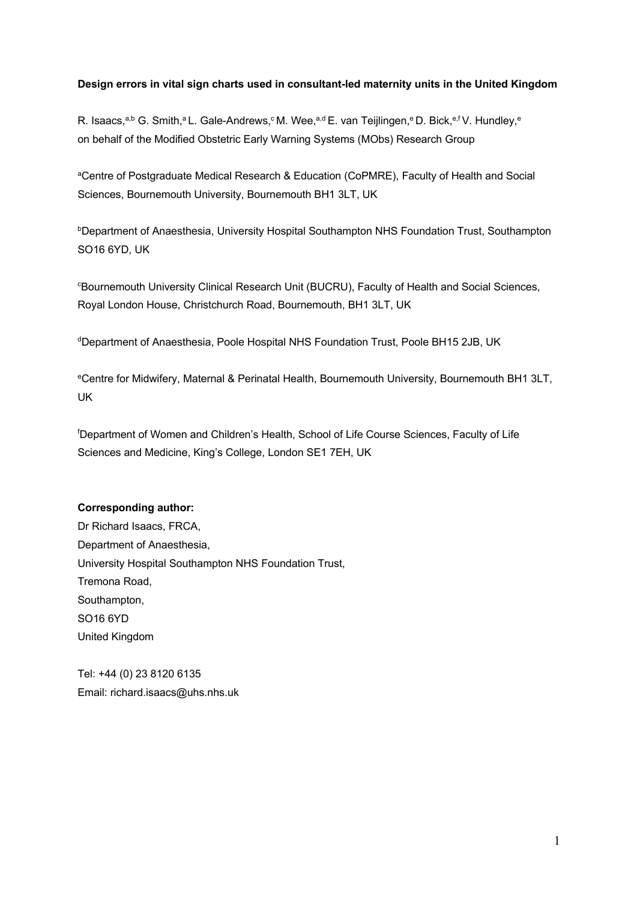## **Design errors in vital sign charts used in consultant-led maternity units in the United Kingdom**

R. Isaacs,<sup>a,b</sup> G. Smith,<sup>a</sup> L. Gale-Andrews,<sup>c</sup> M. Wee,<sup>a,d</sup> E. van Teijlingen,<sup>e</sup> D. Bick,<sup>e,f</sup> V. Hundley,<sup>e</sup> on behalf of the Modified Obstetric Early Warning Systems (MObs) Research Group

aCentre of Postgraduate Medical Research & Education (CoPMRE), Faculty of Health and Social Sciences, Bournemouth University, Bournemouth BH1 3LT, UK

bDepartment of Anaesthesia, University Hospital Southampton NHS Foundation Trust, Southampton SO16 6YD, UK

c Bournemouth University Clinical Research Unit (BUCRU), Faculty of Health and Social Sciences, Royal London House, Christchurch Road, Bournemouth, BH1 3LT, UK

dDepartment of Anaesthesia, Poole Hospital NHS Foundation Trust, Poole BH15 2JB, UK

eCentre for Midwifery, Maternal & Perinatal Health, Bournemouth University, Bournemouth BH1 3LT, UK

f Department of Women and Children's Health, School of Life Course Sciences, Faculty of Life Sciences and Medicine, King's College, London SE1 7EH, UK

## **Corresponding author:**

Dr Richard Isaacs, FRCA, Department of Anaesthesia, University Hospital Southampton NHS Foundation Trust, Tremona Road, Southampton, SO16 6YD United Kingdom

Tel: +44 (0) 23 8120 6135 Email: richard.isaacs@uhs.nhs.uk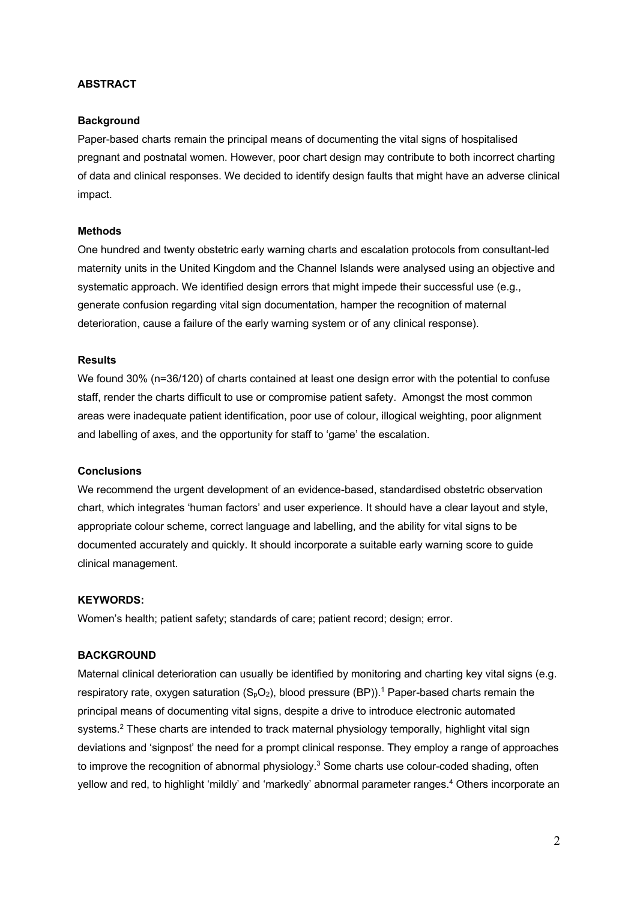#### **ABSTRACT**

#### **Background**

Paper-based charts remain the principal means of documenting the vital signs of hospitalised pregnant and postnatal women. However, poor chart design may contribute to both incorrect charting of data and clinical responses. We decided to identify design faults that might have an adverse clinical impact.

#### **Methods**

One hundred and twenty obstetric early warning charts and escalation protocols from consultant-led maternity units in the United Kingdom and the Channel Islands were analysed using an objective and systematic approach. We identified design errors that might impede their successful use (e.g., generate confusion regarding vital sign documentation, hamper the recognition of maternal deterioration, cause a failure of the early warning system or of any clinical response).

#### **Results**

We found 30% (n=36/120) of charts contained at least one design error with the potential to confuse staff, render the charts difficult to use or compromise patient safety. Amongst the most common areas were inadequate patient identification, poor use of colour, illogical weighting, poor alignment and labelling of axes, and the opportunity for staff to 'game' the escalation.

#### **Conclusions**

We recommend the urgent development of an evidence-based, standardised obstetric observation chart, which integrates 'human factors' and user experience. It should have a clear layout and style, appropriate colour scheme, correct language and labelling, and the ability for vital signs to be documented accurately and quickly. It should incorporate a suitable early warning score to guide clinical management.

#### **KEYWORDS:**

Women's health; patient safety; standards of care; patient record; design; error.

#### **BACKGROUND**

Maternal clinical deterioration can usually be identified by monitoring and charting key vital signs (e.g. respiratory rate, oxygen saturation  $(S_0O_2)$ , blood pressure (BP)).<sup>1</sup> Paper-based charts remain the principal means of documenting vital signs, despite a drive to introduce electronic automated systems.<sup>2</sup> These charts are intended to track maternal physiology temporally, highlight vital sign deviations and 'signpost' the need for a prompt clinical response. They employ a range of approaches to improve the recognition of abnormal physiology.<sup>3</sup> Some charts use colour-coded shading, often yellow and red, to highlight 'mildly' and 'markedly' abnormal parameter ranges.<sup>4</sup> Others incorporate an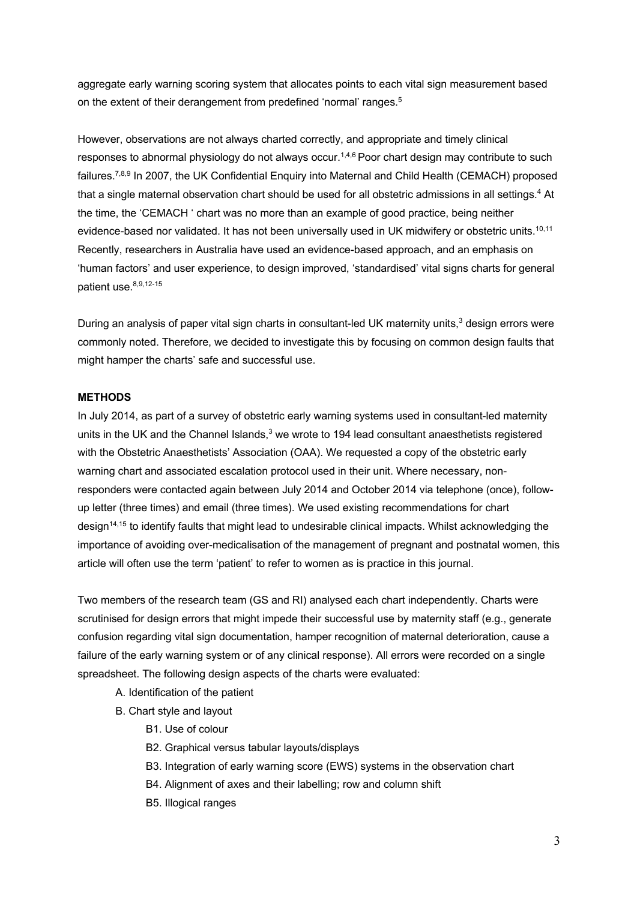aggregate early warning scoring system that allocates points to each vital sign measurement based on the extent of their derangement from predefined 'normal' ranges.<sup>5</sup>

However, observations are not always charted correctly, and appropriate and timely clinical responses to abnormal physiology do not always occur.<sup>1,4,6</sup> Poor chart design may contribute to such failures.<sup>7,8,9</sup> In 2007, the UK Confidential Enquiry into Maternal and Child Health (CEMACH) proposed that a single maternal observation chart should be used for all obstetric admissions in all settings.<sup>4</sup> At the time, the 'CEMACH ' chart was no more than an example of good practice, being neither evidence-based nor validated. It has not been universally used in UK midwifery or obstetric units.<sup>10,11</sup> Recently, researchers in Australia have used an evidence-based approach, and an emphasis on 'human factors' and user experience, to design improved, 'standardised' vital signs charts for general patient use. 8,9,12-15

During an analysis of paper vital sign charts in consultant-led UK maternity units,<sup>3</sup> design errors were commonly noted. Therefore, we decided to investigate this by focusing on common design faults that might hamper the charts' safe and successful use.

## **METHODS**

In July 2014, as part of a survey of obstetric early warning systems used in consultant-led maternity units in the UK and the Channel Islands, $3$  we wrote to 194 lead consultant anaesthetists registered with the Obstetric Anaesthetists' Association (OAA). We requested a copy of the obstetric early warning chart and associated escalation protocol used in their unit. Where necessary, nonresponders were contacted again between July 2014 and October 2014 via telephone (once), followup letter (three times) and email (three times). We used existing recommendations for chart design14,15 to identify faults that might lead to undesirable clinical impacts. Whilst acknowledging the importance of avoiding over-medicalisation of the management of pregnant and postnatal women, this article will often use the term 'patient' to refer to women as is practice in this journal.

Two members of the research team (GS and RI) analysed each chart independently. Charts were scrutinised for design errors that might impede their successful use by maternity staff (e.g., generate confusion regarding vital sign documentation, hamper recognition of maternal deterioration, cause a failure of the early warning system or of any clinical response). All errors were recorded on a single spreadsheet. The following design aspects of the charts were evaluated:

- A. Identification of the patient
- B. Chart style and layout
	- B1. Use of colour
	- B2. Graphical versus tabular layouts/displays
	- B3. Integration of early warning score (EWS) systems in the observation chart
	- B4. Alignment of axes and their labelling; row and column shift
	- B5. Illogical ranges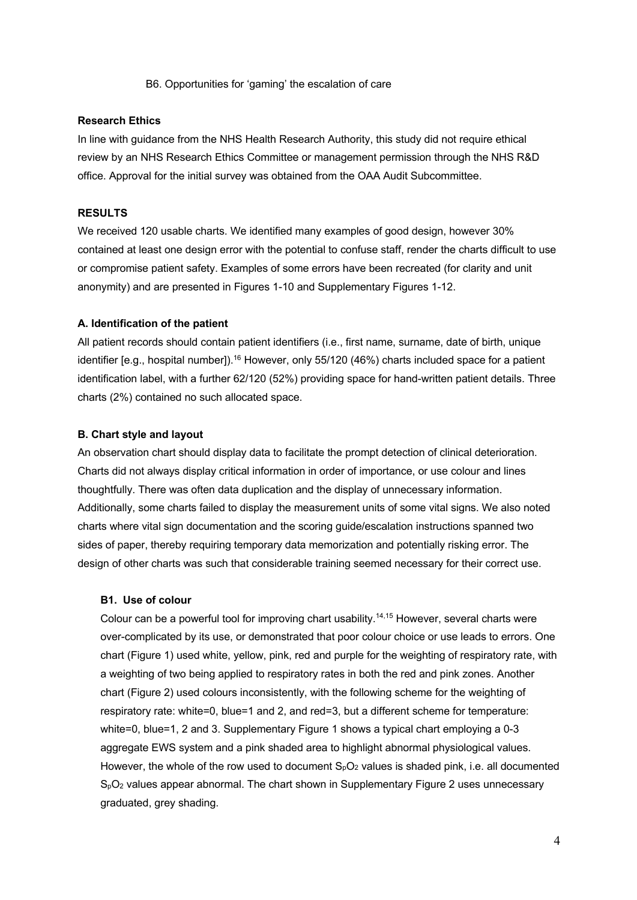B6. Opportunities for 'gaming' the escalation of care

#### **Research Ethics**

In line with guidance from the NHS Health Research Authority, this study did not require ethical review by an NHS Research Ethics Committee or management permission through the NHS R&D office. Approval for the initial survey was obtained from the OAA Audit Subcommittee.

### **RESULTS**

We received 120 usable charts. We identified many examples of good design, however 30% contained at least one design error with the potential to confuse staff, render the charts difficult to use or compromise patient safety. Examples of some errors have been recreated (for clarity and unit anonymity) and are presented in Figures 1-10 and Supplementary Figures 1-12.

#### **A. Identification of the patient**

All patient records should contain patient identifiers (i.e., first name, surname, date of birth, unique identifier [e.g., hospital number]).<sup>16</sup> However, only 55/120 (46%) charts included space for a patient identification label, with a further 62/120 (52%) providing space for hand-written patient details. Three charts (2%) contained no such allocated space.

#### **B. Chart style and layout**

An observation chart should display data to facilitate the prompt detection of clinical deterioration. Charts did not always display critical information in order of importance, or use colour and lines thoughtfully. There was often data duplication and the display of unnecessary information. Additionally, some charts failed to display the measurement units of some vital signs. We also noted charts where vital sign documentation and the scoring guide/escalation instructions spanned two sides of paper, thereby requiring temporary data memorization and potentially risking error. The design of other charts was such that considerable training seemed necessary for their correct use.

#### **B1. Use of colour**

Colour can be a powerful tool for improving chart usability.<sup>14,15</sup> However, several charts were over-complicated by its use, or demonstrated that poor colour choice or use leads to errors. One chart (Figure 1) used white, yellow, pink, red and purple for the weighting of respiratory rate, with a weighting of two being applied to respiratory rates in both the red and pink zones. Another chart (Figure 2) used colours inconsistently, with the following scheme for the weighting of respiratory rate: white=0, blue=1 and 2, and red=3, but a different scheme for temperature: white=0, blue=1, 2 and 3. Supplementary Figure 1 shows a typical chart employing a 0-3 aggregate EWS system and a pink shaded area to highlight abnormal physiological values. However, the whole of the row used to document  $S<sub>p</sub>O<sub>2</sub>$  values is shaded pink, i.e. all documented SpO2 values appear abnormal. The chart shown in Supplementary Figure 2 uses unnecessary graduated, grey shading.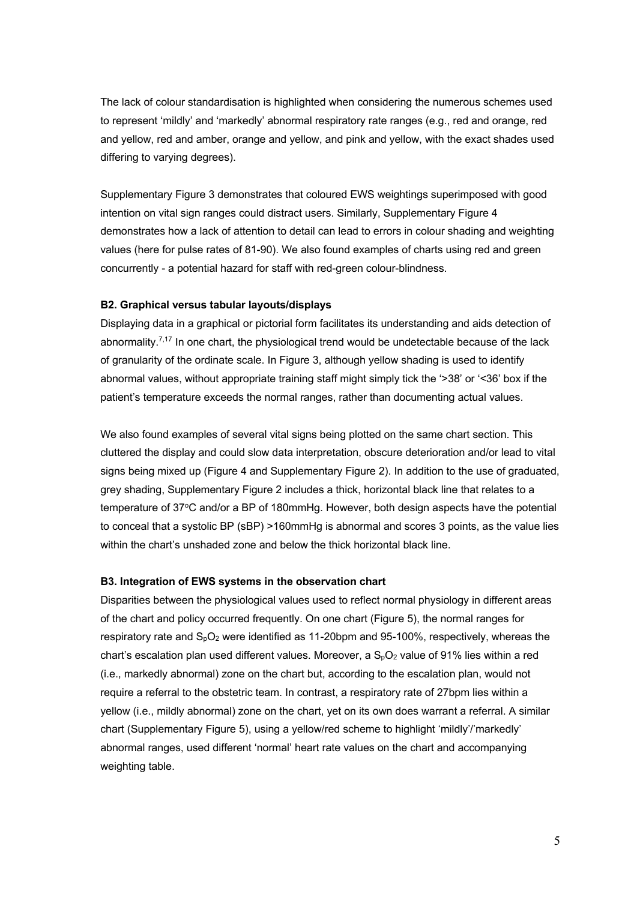The lack of colour standardisation is highlighted when considering the numerous schemes used to represent 'mildly' and 'markedly' abnormal respiratory rate ranges (e.g., red and orange, red and yellow, red and amber, orange and yellow, and pink and yellow, with the exact shades used differing to varying degrees).

Supplementary Figure 3 demonstrates that coloured EWS weightings superimposed with good intention on vital sign ranges could distract users. Similarly, Supplementary Figure 4 demonstrates how a lack of attention to detail can lead to errors in colour shading and weighting values (here for pulse rates of 81-90). We also found examples of charts using red and green concurrently - a potential hazard for staff with red-green colour-blindness.

#### **B2. Graphical versus tabular layouts/displays**

Displaying data in a graphical or pictorial form facilitates its understanding and aids detection of abnormality. $7.17$  In one chart, the physiological trend would be undetectable because of the lack of granularity of the ordinate scale. In Figure 3, although yellow shading is used to identify abnormal values, without appropriate training staff might simply tick the '>38' or '<36' box if the patient's temperature exceeds the normal ranges, rather than documenting actual values.

We also found examples of several vital signs being plotted on the same chart section. This cluttered the display and could slow data interpretation, obscure deterioration and/or lead to vital signs being mixed up (Figure 4 and Supplementary Figure 2). In addition to the use of graduated, grey shading, Supplementary Figure 2 includes a thick, horizontal black line that relates to a temperature of 37°C and/or a BP of 180mmHg. However, both design aspects have the potential to conceal that a systolic BP (sBP) >160mmHg is abnormal and scores 3 points, as the value lies within the chart's unshaded zone and below the thick horizontal black line.

#### **B3. Integration of EWS systems in the observation chart**

Disparities between the physiological values used to reflect normal physiology in different areas of the chart and policy occurred frequently. On one chart (Figure 5), the normal ranges for respiratory rate and  $S_pO_2$  were identified as 11-20bpm and 95-100%, respectively, whereas the chart's escalation plan used different values. Moreover, a  $S_pO_2$  value of 91% lies within a red (i.e., markedly abnormal) zone on the chart but, according to the escalation plan, would not require a referral to the obstetric team. In contrast, a respiratory rate of 27bpm lies within a yellow (i.e., mildly abnormal) zone on the chart, yet on its own does warrant a referral. A similar chart (Supplementary Figure 5), using a yellow/red scheme to highlight 'mildly'/'markedly' abnormal ranges, used different 'normal' heart rate values on the chart and accompanying weighting table.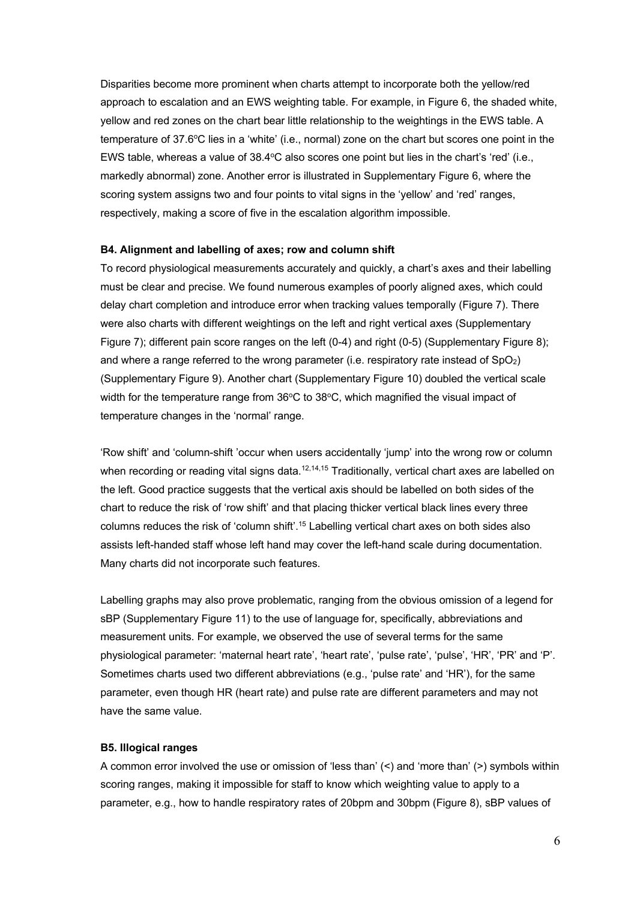Disparities become more prominent when charts attempt to incorporate both the yellow/red approach to escalation and an EWS weighting table. For example, in Figure 6, the shaded white, yellow and red zones on the chart bear little relationship to the weightings in the EWS table. A temperature of 37.6°C lies in a 'white' (i.e., normal) zone on the chart but scores one point in the EWS table, whereas a value of  $38.4^{\circ}$ C also scores one point but lies in the chart's 'red' (i.e., markedly abnormal) zone. Another error is illustrated in Supplementary Figure 6, where the scoring system assigns two and four points to vital signs in the 'yellow' and 'red' ranges, respectively, making a score of five in the escalation algorithm impossible.

#### **B4. Alignment and labelling of axes; row and column shift**

To record physiological measurements accurately and quickly, a chart's axes and their labelling must be clear and precise. We found numerous examples of poorly aligned axes, which could delay chart completion and introduce error when tracking values temporally (Figure 7). There were also charts with different weightings on the left and right vertical axes (Supplementary Figure 7); different pain score ranges on the left (0-4) and right (0-5) (Supplementary Figure 8); and where a range referred to the wrong parameter (i.e. respiratory rate instead of  $SpO<sub>2</sub>$ ) (Supplementary Figure 9). Another chart (Supplementary Figure 10) doubled the vertical scale width for the temperature range from  $36^{\circ}$ C to  $38^{\circ}$ C, which magnified the visual impact of temperature changes in the 'normal' range.

'Row shift' and 'column-shift 'occur when users accidentally 'jump' into the wrong row or column when recording or reading vital signs data.<sup>12,14,15</sup> Traditionally, vertical chart axes are labelled on the left. Good practice suggests that the vertical axis should be labelled on both sides of the chart to reduce the risk of 'row shift' and that placing thicker vertical black lines every three columns reduces the risk of 'column shift'.15 Labelling vertical chart axes on both sides also assists left-handed staff whose left hand may cover the left-hand scale during documentation. Many charts did not incorporate such features.

Labelling graphs may also prove problematic, ranging from the obvious omission of a legend for sBP (Supplementary Figure 11) to the use of language for, specifically, abbreviations and measurement units. For example, we observed the use of several terms for the same physiological parameter: 'maternal heart rate', 'heart rate', 'pulse rate', 'pulse', 'HR', 'PR' and 'P'. Sometimes charts used two different abbreviations (e.g., 'pulse rate' and 'HR'), for the same parameter, even though HR (heart rate) and pulse rate are different parameters and may not have the same value.

#### **B5. Illogical ranges**

A common error involved the use or omission of 'less than' (<) and 'more than' (>) symbols within scoring ranges, making it impossible for staff to know which weighting value to apply to a parameter, e.g., how to handle respiratory rates of 20bpm and 30bpm (Figure 8), sBP values of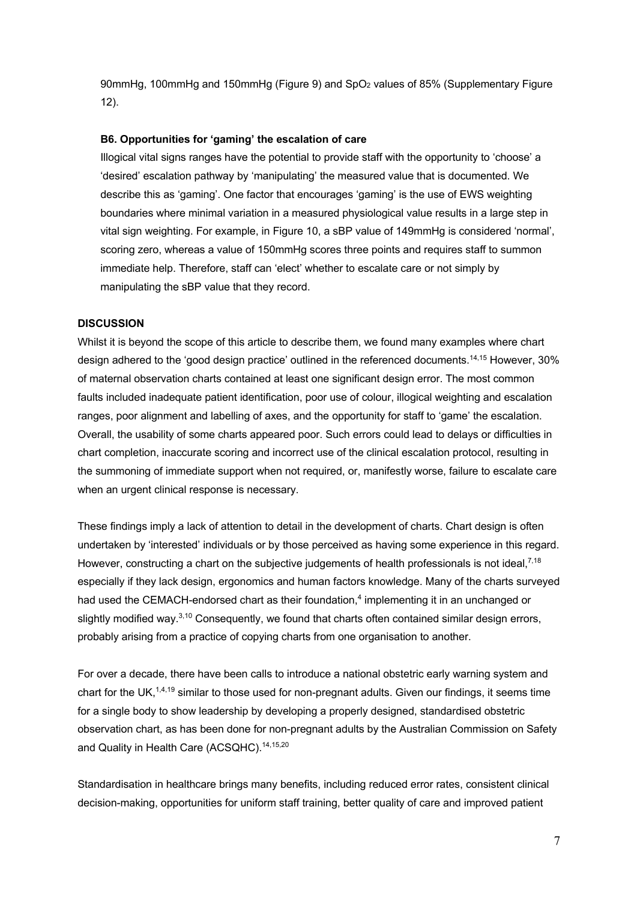90mmHg, 100mmHg and 150mmHg (Figure 9) and SpO2 values of 85% (Supplementary Figure 12).

#### **B6. Opportunities for 'gaming' the escalation of care**

Illogical vital signs ranges have the potential to provide staff with the opportunity to 'choose' a 'desired' escalation pathway by 'manipulating' the measured value that is documented. We describe this as 'gaming'. One factor that encourages 'gaming' is the use of EWS weighting boundaries where minimal variation in a measured physiological value results in a large step in vital sign weighting. For example, in Figure 10, a sBP value of 149mmHg is considered 'normal', scoring zero, whereas a value of 150mmHg scores three points and requires staff to summon immediate help. Therefore, staff can 'elect' whether to escalate care or not simply by manipulating the sBP value that they record.

### **DISCUSSION**

Whilst it is beyond the scope of this article to describe them, we found many examples where chart design adhered to the 'good design practice' outlined in the referenced documents.<sup>14,15</sup> However, 30% of maternal observation charts contained at least one significant design error. The most common faults included inadequate patient identification, poor use of colour, illogical weighting and escalation ranges, poor alignment and labelling of axes, and the opportunity for staff to 'game' the escalation. Overall, the usability of some charts appeared poor. Such errors could lead to delays or difficulties in chart completion, inaccurate scoring and incorrect use of the clinical escalation protocol, resulting in the summoning of immediate support when not required, or, manifestly worse, failure to escalate care when an urgent clinical response is necessary.

These findings imply a lack of attention to detail in the development of charts. Chart design is often undertaken by 'interested' individuals or by those perceived as having some experience in this regard. However, constructing a chart on the subjective judgements of health professionals is not ideal,<sup>7,18</sup> especially if they lack design, ergonomics and human factors knowledge. Many of the charts surveyed had used the CEMACH-endorsed chart as their foundation,<sup>4</sup> implementing it in an unchanged or slightly modified way. $3,10$  Consequently, we found that charts often contained similar design errors, probably arising from a practice of copying charts from one organisation to another.

For over a decade, there have been calls to introduce a national obstetric early warning system and chart for the UK,<sup>1,4,19</sup> similar to those used for non-pregnant adults. Given our findings, it seems time for a single body to show leadership by developing a properly designed, standardised obstetric observation chart, as has been done for non-pregnant adults by the Australian Commission on Safety and Quality in Health Care (ACSQHC).<sup>14,15,20</sup>

Standardisation in healthcare brings many benefits, including reduced error rates, consistent clinical decision-making, opportunities for uniform staff training, better quality of care and improved patient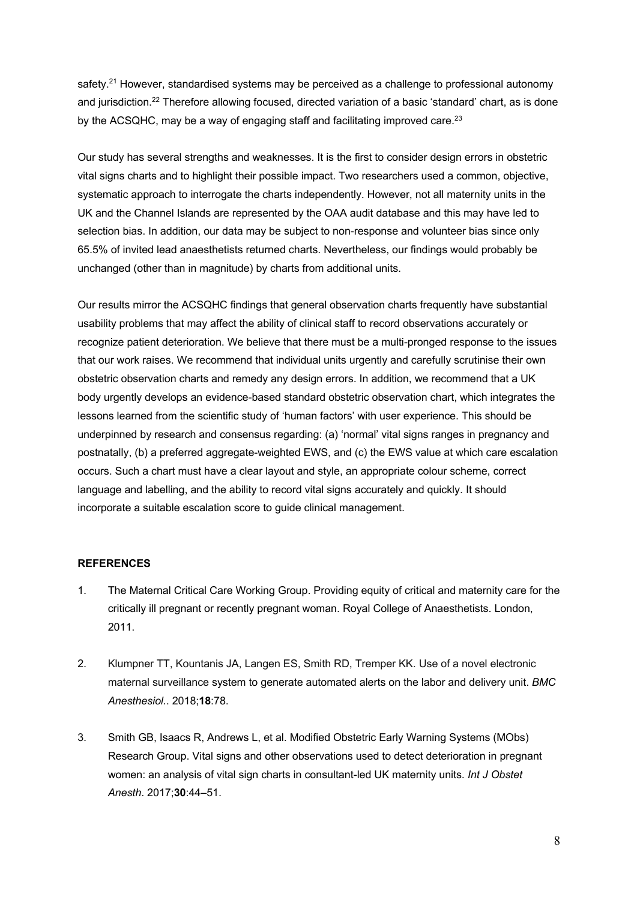safety.<sup>21</sup> However, standardised systems may be perceived as a challenge to professional autonomy and jurisdiction.<sup>22</sup> Therefore allowing focused, directed variation of a basic 'standard' chart, as is done by the ACSQHC, may be a way of engaging staff and facilitating improved care.<sup>23</sup>

Our study has several strengths and weaknesses. It is the first to consider design errors in obstetric vital signs charts and to highlight their possible impact. Two researchers used a common, objective, systematic approach to interrogate the charts independently. However, not all maternity units in the UK and the Channel Islands are represented by the OAA audit database and this may have led to selection bias. In addition, our data may be subject to non-response and volunteer bias since only 65.5% of invited lead anaesthetists returned charts. Nevertheless, our findings would probably be unchanged (other than in magnitude) by charts from additional units.

Our results mirror the ACSQHC findings that general observation charts frequently have substantial usability problems that may affect the ability of clinical staff to record observations accurately or recognize patient deterioration. We believe that there must be a multi-pronged response to the issues that our work raises. We recommend that individual units urgently and carefully scrutinise their own obstetric observation charts and remedy any design errors. In addition, we recommend that a UK body urgently develops an evidence-based standard obstetric observation chart, which integrates the lessons learned from the scientific study of 'human factors' with user experience. This should be underpinned by research and consensus regarding: (a) 'normal' vital signs ranges in pregnancy and postnatally, (b) a preferred aggregate-weighted EWS, and (c) the EWS value at which care escalation occurs. Such a chart must have a clear layout and style, an appropriate colour scheme, correct language and labelling, and the ability to record vital signs accurately and quickly. It should incorporate a suitable escalation score to guide clinical management.

#### **REFERENCES**

- 1. The Maternal Critical Care Working Group. Providing equity of critical and maternity care for the critically ill pregnant or recently pregnant woman. Royal College of Anaesthetists. London, 2011.
- 2. Klumpner TT, Kountanis JA, Langen ES, Smith RD, Tremper KK. Use of a novel electronic maternal surveillance system to generate automated alerts on the labor and delivery unit. *BMC Anesthesiol.*. 2018;**18**:78.
- 3. Smith GB, Isaacs R, Andrews L, et al. Modified Obstetric Early Warning Systems (MObs) Research Group. Vital signs and other observations used to detect deterioration in pregnant women: an analysis of vital sign charts in consultant-led UK maternity units. *Int J Obstet Anesth*. 2017;**30**:44–51.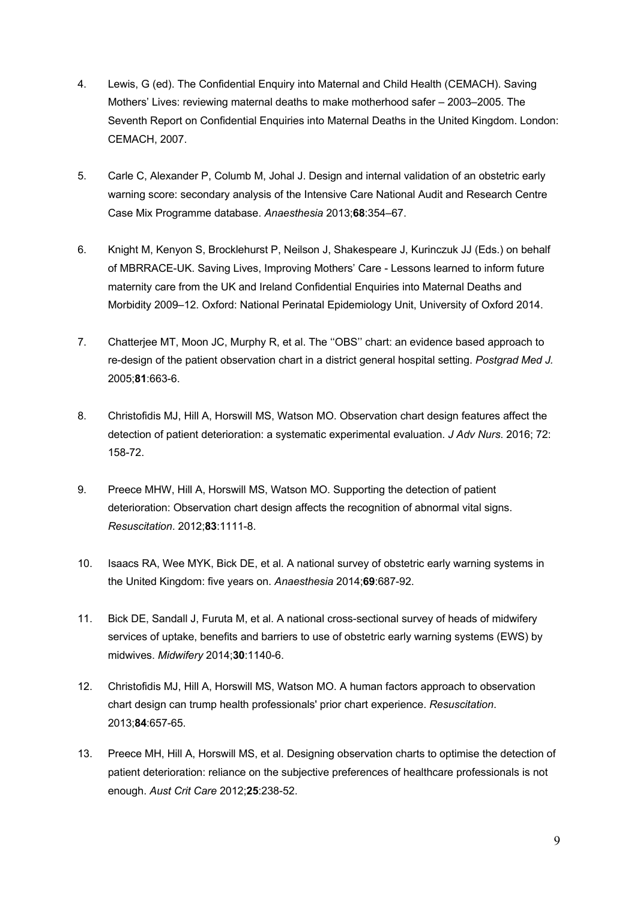- 4. Lewis, G (ed). The Confidential Enquiry into Maternal and Child Health (CEMACH). Saving Mothers' Lives: reviewing maternal deaths to make motherhood safer – 2003–2005. The Seventh Report on Confidential Enquiries into Maternal Deaths in the United Kingdom. London: CEMACH, 2007.
- 5. Carle C, Alexander P, Columb M, Johal J. Design and internal validation of an obstetric early warning score: secondary analysis of the Intensive Care National Audit and Research Centre Case Mix Programme database. *Anaesthesia* 2013;**68**:354–67.
- 6. Knight M, Kenyon S, Brocklehurst P, Neilson J, Shakespeare J, Kurinczuk JJ (Eds.) on behalf of MBRRACE-UK. Saving Lives, Improving Mothers' Care - Lessons learned to inform future maternity care from the UK and Ireland Confidential Enquiries into Maternal Deaths and Morbidity 2009–12. Oxford: National Perinatal Epidemiology Unit, University of Oxford 2014.
- 7. Chatterjee MT, Moon JC, Murphy R, et al. The ''OBS'' chart: an evidence based approach to re-design of the patient observation chart in a district general hospital setting. *Postgrad Med J.*  2005;**81**:663-6.
- 8. Christofidis MJ, Hill A, Horswill MS, Watson MO. Observation chart design features affect the detection of patient deterioration: a systematic experimental evaluation. *J Adv Nurs*. 2016; 72: 158-72.
- 9. Preece MHW, Hill A, Horswill MS, Watson MO. Supporting the detection of patient deterioration: Observation chart design affects the recognition of abnormal vital signs. *Resuscitation*. 2012;**83**:1111-8.
- 10. Isaacs RA, Wee MYK, Bick DE, et al. A national survey of obstetric early warning systems in the United Kingdom: five years on. *Anaesthesia* 2014;**69**:687-92.
- 11. Bick DE, Sandall J, Furuta M, et al. A national cross-sectional survey of heads of midwifery services of uptake, benefits and barriers to use of obstetric early warning systems (EWS) by midwives. *Midwifery* 2014;**30**:1140-6.
- 12. Christofidis MJ, Hill A, Horswill MS, Watson MO. A human factors approach to observation chart design can trump health professionals' prior chart experience. *Resuscitation*. 2013;**84**:657-65.
- 13. Preece MH, Hill A, Horswill MS, et al. Designing observation charts to optimise the detection of patient deterioration: reliance on the subjective preferences of healthcare professionals is not enough. *Aust Crit Care* 2012;**25**:238-52.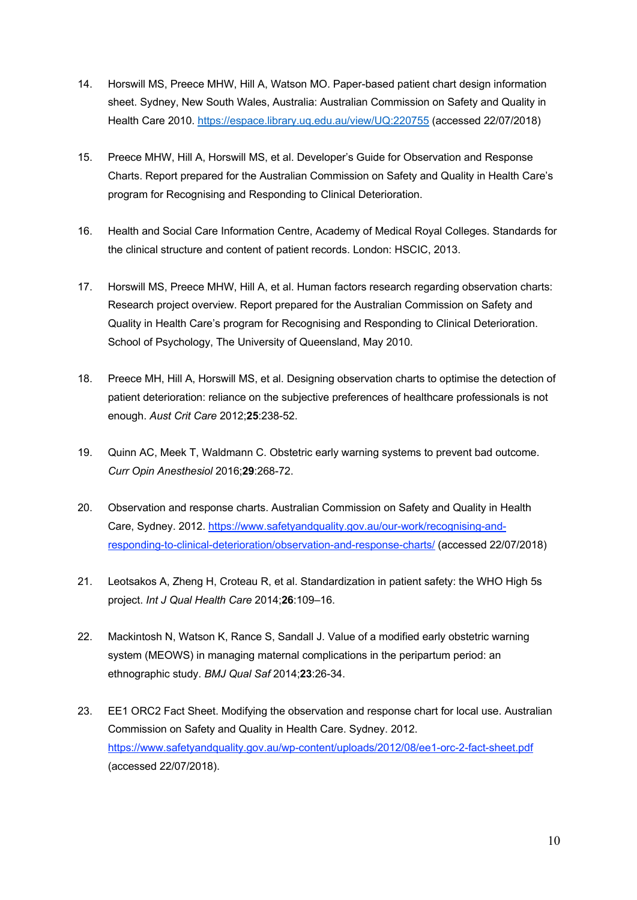- 14. Horswill MS, Preece MHW, Hill A, Watson MO. Paper-based patient chart design information sheet. Sydney, New South Wales, Australia: Australian Commission on Safety and Quality in Health Care 2010. https://espace.library.uq.edu.au/view/UQ:220755 (accessed 22/07/2018)
- 15. Preece MHW, Hill A, Horswill MS, et al. Developer's Guide for Observation and Response Charts. Report prepared for the Australian Commission on Safety and Quality in Health Care's program for Recognising and Responding to Clinical Deterioration.
- 16. Health and Social Care Information Centre, Academy of Medical Royal Colleges. Standards for the clinical structure and content of patient records. London: HSCIC, 2013.
- 17. Horswill MS, Preece MHW, Hill A, et al. Human factors research regarding observation charts: Research project overview. Report prepared for the Australian Commission on Safety and Quality in Health Care's program for Recognising and Responding to Clinical Deterioration. School of Psychology, The University of Queensland, May 2010.
- 18. Preece MH, Hill A, Horswill MS, et al. Designing observation charts to optimise the detection of patient deterioration: reliance on the subjective preferences of healthcare professionals is not enough. *Aust Crit Care* 2012;**25**:238-52.
- 19. Quinn AC, Meek T, Waldmann C. Obstetric early warning systems to prevent bad outcome. *Curr Opin Anesthesiol* 2016;**29**:268-72.
- 20. Observation and response charts. Australian Commission on Safety and Quality in Health Care, Sydney. 2012. https://www.safetyandquality.gov.au/our-work/recognising-andresponding-to-clinical-deterioration/observation-and-response-charts/ (accessed 22/07/2018)
- 21. Leotsakos A, Zheng H, Croteau R, et al. Standardization in patient safety: the WHO High 5s project. *Int J Qual Health Care* 2014;**26**:109–16.
- 22. Mackintosh N, Watson K, Rance S, Sandall J. Value of a modified early obstetric warning system (MEOWS) in managing maternal complications in the peripartum period: an ethnographic study. *BMJ Qual Saf* 2014;**23**:26-34.
- 23. EE1 ORC2 Fact Sheet. Modifying the observation and response chart for local use. Australian Commission on Safety and Quality in Health Care. Sydney. 2012. https://www.safetyandquality.gov.au/wp-content/uploads/2012/08/ee1-orc-2-fact-sheet.pdf (accessed 22/07/2018).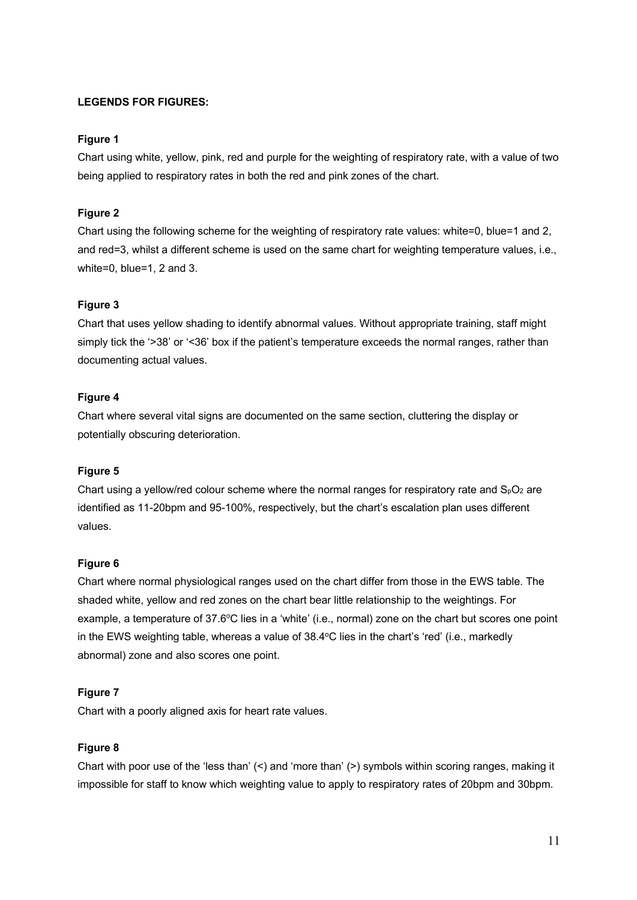## **LEGENDS FOR FIGURES:**

## **Figure 1**

Chart using white, yellow, pink, red and purple for the weighting of respiratory rate, with a value of two being applied to respiratory rates in both the red and pink zones of the chart.

## **Figure 2**

Chart using the following scheme for the weighting of respiratory rate values: white=0, blue=1 and 2, and red=3, whilst a different scheme is used on the same chart for weighting temperature values, i.e., white=0, blue=1, 2 and 3.

## **Figure 3**

Chart that uses yellow shading to identify abnormal values. Without appropriate training, staff might simply tick the '>38' or '<36' box if the patient's temperature exceeds the normal ranges, rather than documenting actual values.

## **Figure 4**

Chart where several vital signs are documented on the same section, cluttering the display or potentially obscuring deterioration.

## **Figure 5**

Chart using a yellow/red colour scheme where the normal ranges for respiratory rate and  $S_0O_2$  are identified as 11-20bpm and 95-100%, respectively, but the chart's escalation plan uses different values.

## **Figure 6**

Chart where normal physiological ranges used on the chart differ from those in the EWS table. The shaded white, yellow and red zones on the chart bear little relationship to the weightings. For example, a temperature of 37.6°C lies in a 'white' (i.e., normal) zone on the chart but scores one point in the EWS weighting table, whereas a value of 38.4°C lies in the chart's 'red' (i.e., markedly abnormal) zone and also scores one point.

## **Figure 7**

Chart with a poorly aligned axis for heart rate values.

## **Figure 8**

Chart with poor use of the 'less than'  $($  and 'more than'  $($  >  $)$  symbols within scoring ranges, making it impossible for staff to know which weighting value to apply to respiratory rates of 20bpm and 30bpm.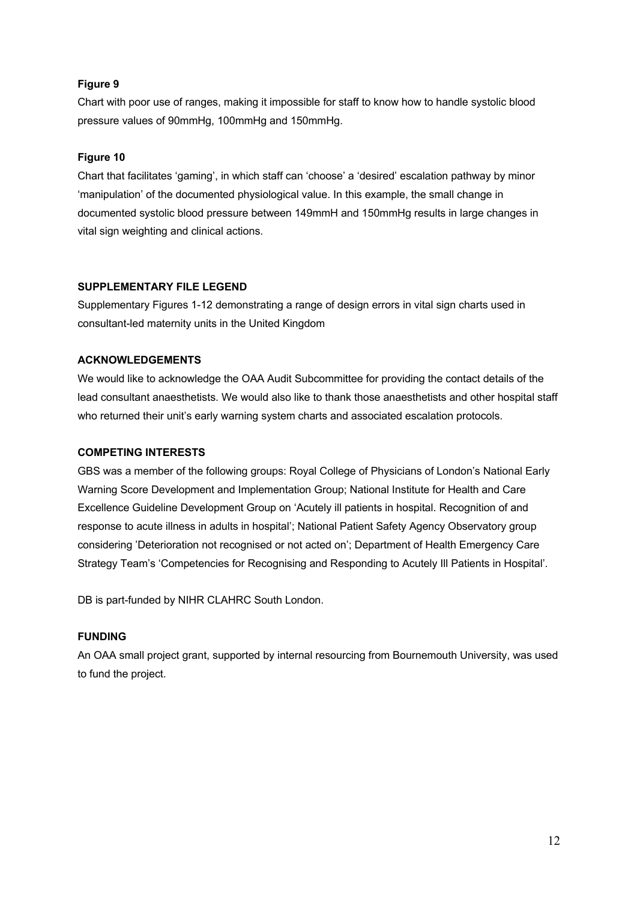## **Figure 9**

Chart with poor use of ranges, making it impossible for staff to know how to handle systolic blood pressure values of 90mmHg, 100mmHg and 150mmHg.

## **Figure 10**

Chart that facilitates 'gaming', in which staff can 'choose' a 'desired' escalation pathway by minor 'manipulation' of the documented physiological value. In this example, the small change in documented systolic blood pressure between 149mmH and 150mmHg results in large changes in vital sign weighting and clinical actions.

## **SUPPLEMENTARY FILE LEGEND**

Supplementary Figures 1-12 demonstrating a range of design errors in vital sign charts used in consultant-led maternity units in the United Kingdom

## **ACKNOWLEDGEMENTS**

We would like to acknowledge the OAA Audit Subcommittee for providing the contact details of the lead consultant anaesthetists. We would also like to thank those anaesthetists and other hospital staff who returned their unit's early warning system charts and associated escalation protocols.

## **COMPETING INTERESTS**

GBS was a member of the following groups: Royal College of Physicians of London's National Early Warning Score Development and Implementation Group; National Institute for Health and Care Excellence Guideline Development Group on 'Acutely ill patients in hospital. Recognition of and response to acute illness in adults in hospital'; National Patient Safety Agency Observatory group considering 'Deterioration not recognised or not acted on'; Department of Health Emergency Care Strategy Team's 'Competencies for Recognising and Responding to Acutely Ill Patients in Hospital'.

DB is part-funded by NIHR CLAHRC South London.

## **FUNDING**

An OAA small project grant, supported by internal resourcing from Bournemouth University, was used to fund the project.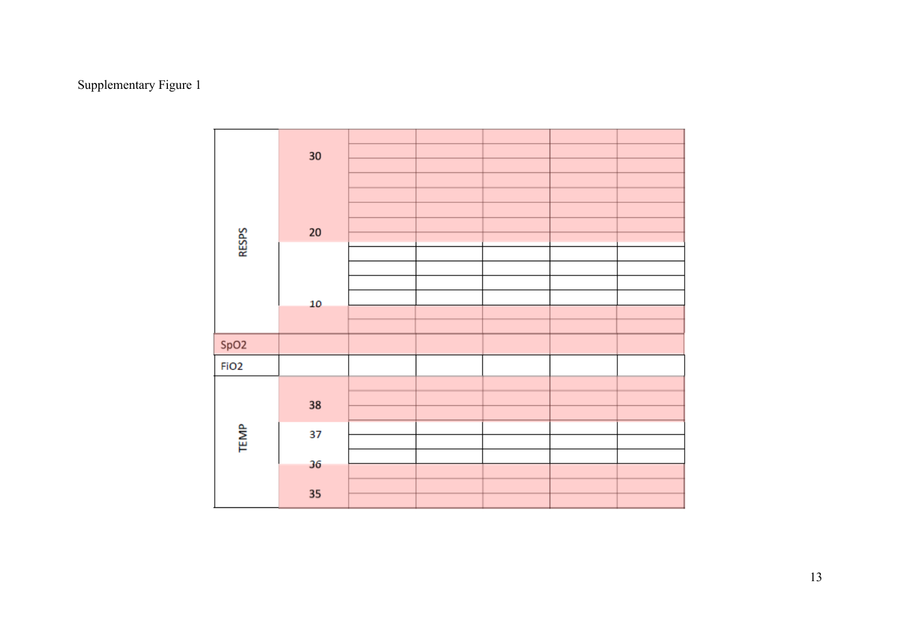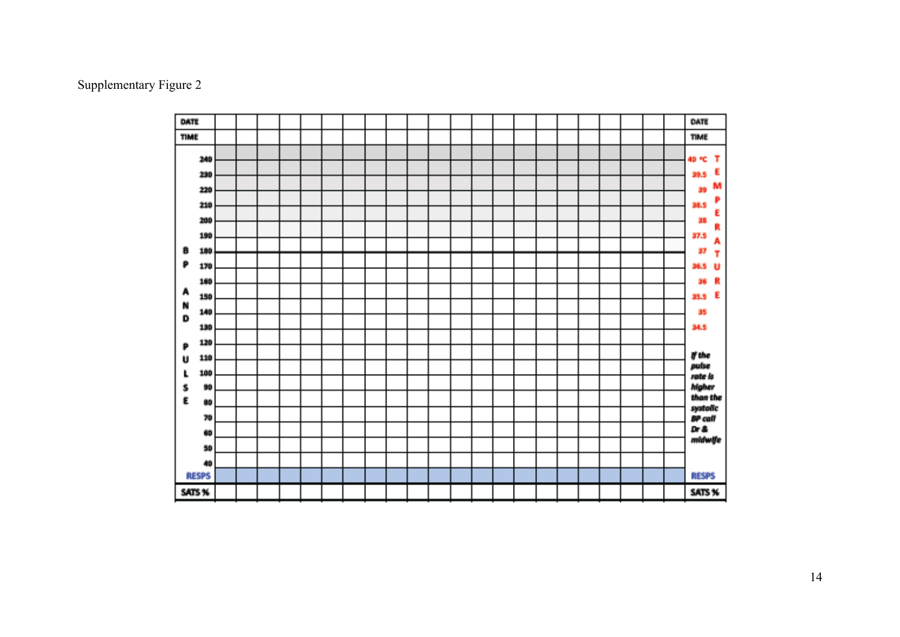#### DATE DATE **TIME TIME** 240 40 °C T E 230 39.5 M 220 39 P 210 38.5 E 200 38 R 190 37.5 Â B 180 37 Ŧ P 36.5 U 170 36 R 160 A 35.5 E 150 N 140 35 D 34.5 130 120 P If the 110 U pulse 100 L rate is higher<br>than the s 90  $\mathbf E$ 80 systolic<br>BP call 70 Dr & 60 midwife 50 40 **RESPS RESPS** SATS % SATS %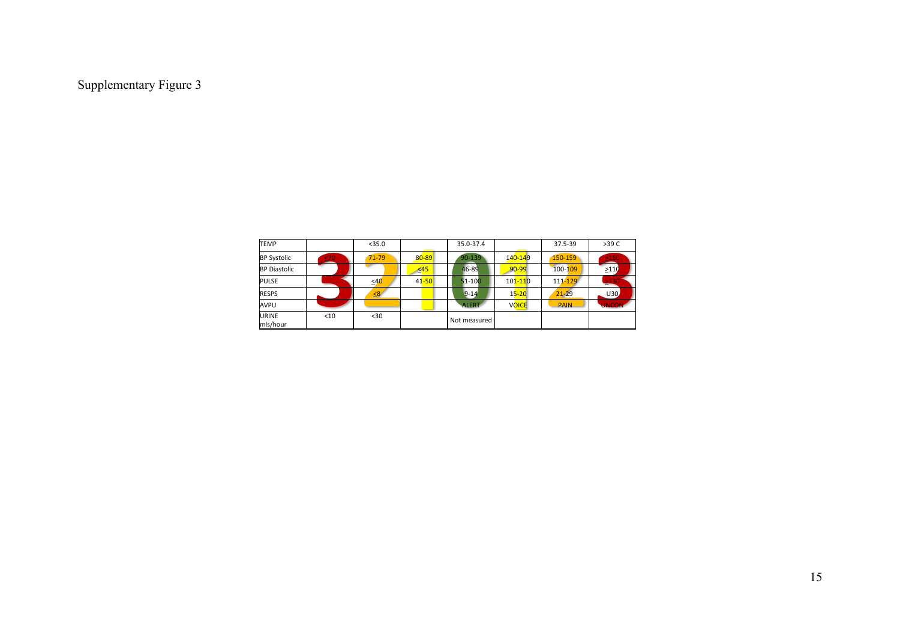| <b>TEMP</b>              |      | $<$ 35.0  |           | 35.0-37.4    |              | 37.5-39     | >39 C        |
|--------------------------|------|-----------|-----------|--------------|--------------|-------------|--------------|
| <b>BP Systolic</b>       | 40   | $71 - 79$ | $80 - 89$ | $90 - 139$   | 140-149      | 150-159     | $\geq 160$   |
| <b>BP Diastolic</b>      |      |           | $\leq 45$ | 46-89        | $90 - 99$    | 100-109     | >110         |
| <b>PULSE</b>             |      | $\leq 40$ | $41 - 50$ | $51 - 100$   | $101 - 110$  | 111-129     | $\geq 130$   |
| <b>RESPS</b>             |      | 58        |           | $9 - 14$     | $15 - 20$    | $21 - 29$   | U30          |
| AVPU                     |      |           |           | <b>ALERT</b> | <b>VOICE</b> | <b>PAIN</b> | <b>UNCO.</b> |
| <b>URINE</b><br>mls/hour | $10$ | $30$      |           | Not measured |              |             |              |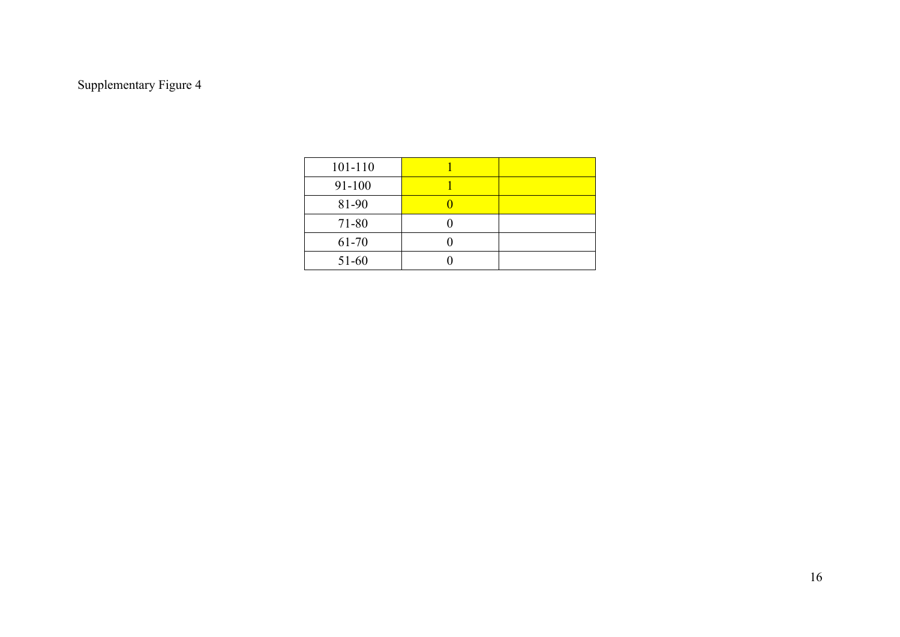| 101-110 |  |
|---------|--|
| 91-100  |  |
| 81-90   |  |
| 71-80   |  |
| 61-70   |  |
| 51-60   |  |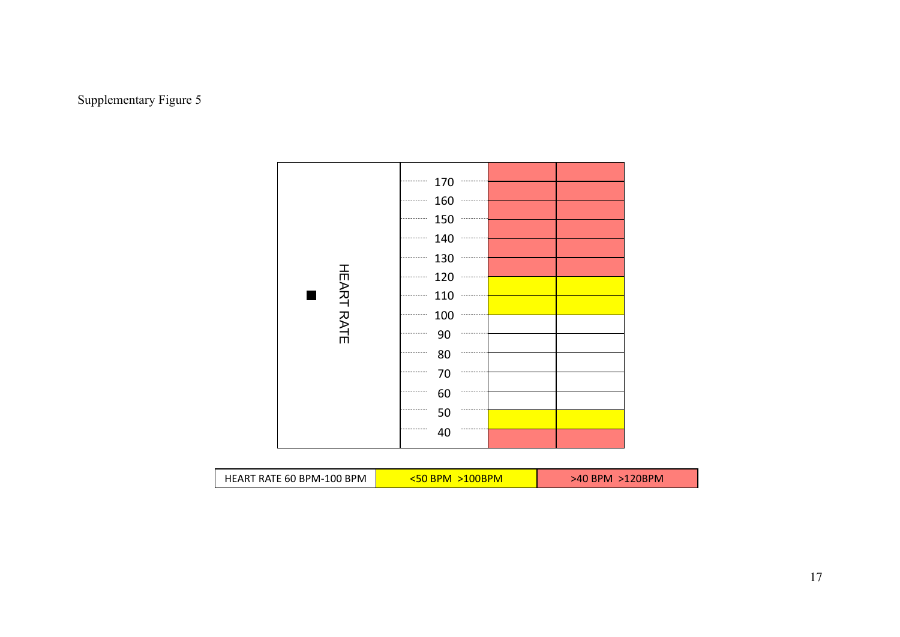



| HEART RATE 60 BPM-100 BPM | :50 BPM<br>$>100$ BPM | $>40$ BPM $>120$ BPM |
|---------------------------|-----------------------|----------------------|
|---------------------------|-----------------------|----------------------|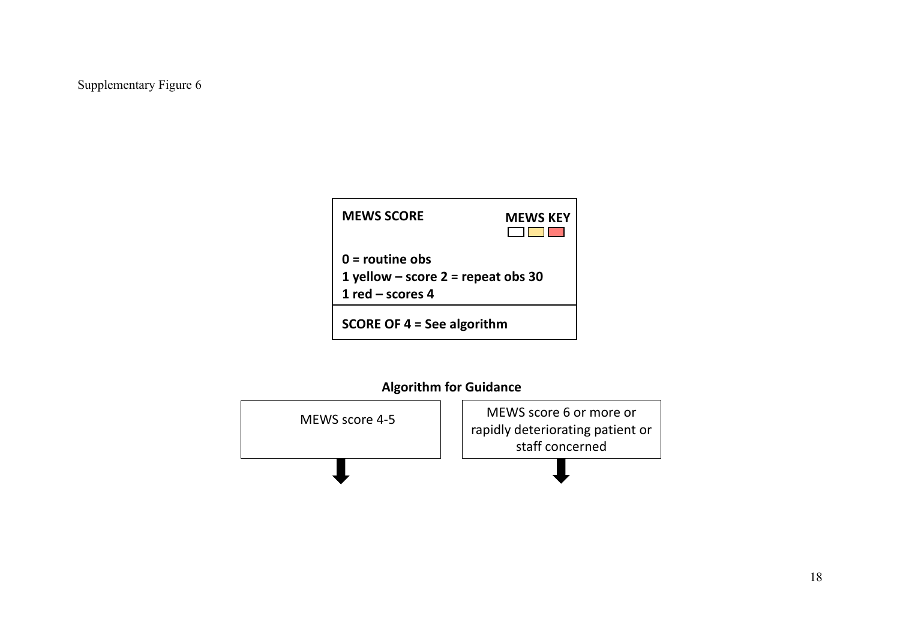| <b>MEWS SCORE</b>                                                               | <b>MEWS KEY</b> |  |  |  |  |  |
|---------------------------------------------------------------------------------|-----------------|--|--|--|--|--|
| $0 =$ routine obs<br>1 yellow – score $2$ = repeat obs 30<br>1 red $-$ scores 4 |                 |  |  |  |  |  |
| SCORE OF $4 =$ See algorithm                                                    |                 |  |  |  |  |  |

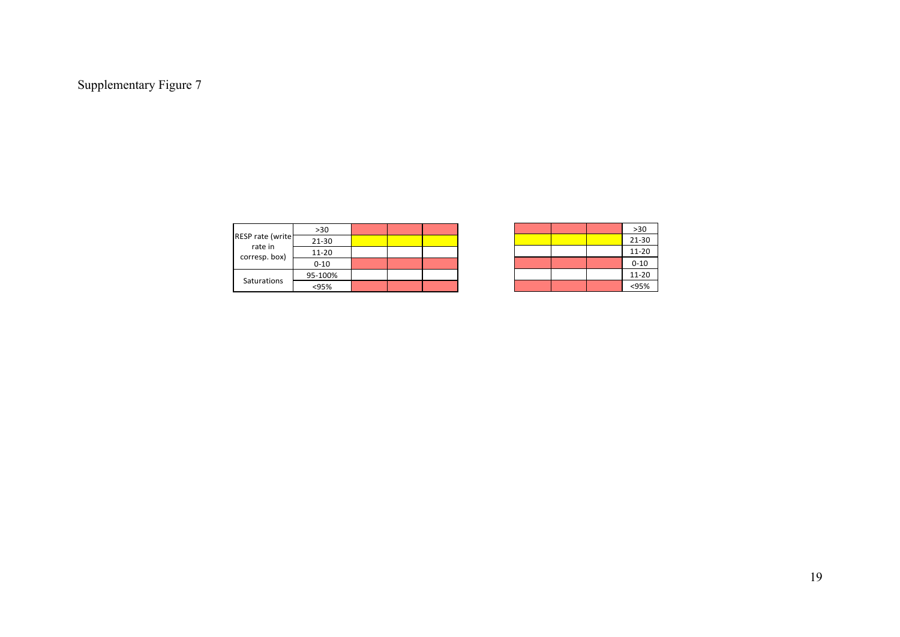|                              | $>30$    |  |  |
|------------------------------|----------|--|--|
| RESP rate (write)<br>rate in | 21-30    |  |  |
| corresp. box)                | 11-20    |  |  |
|                              | $0 - 10$ |  |  |
|                              | 95-100%  |  |  |
| Saturations                  | <95%     |  |  |

|  |  | $>30$     |
|--|--|-----------|
|  |  | $21 - 30$ |
|  |  | $11 - 20$ |
|  |  | $0 - 10$  |
|  |  | $11 - 20$ |
|  |  | < 95%     |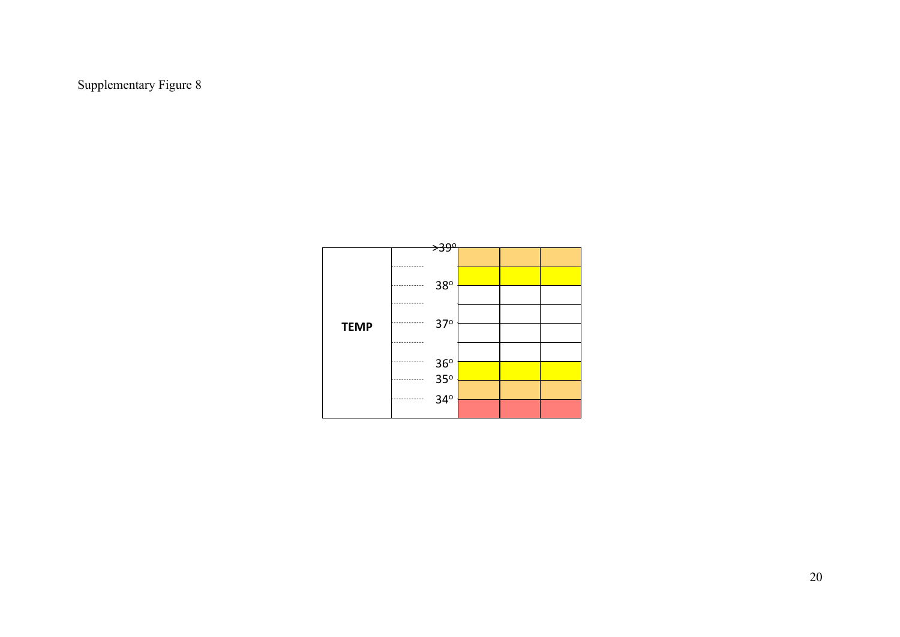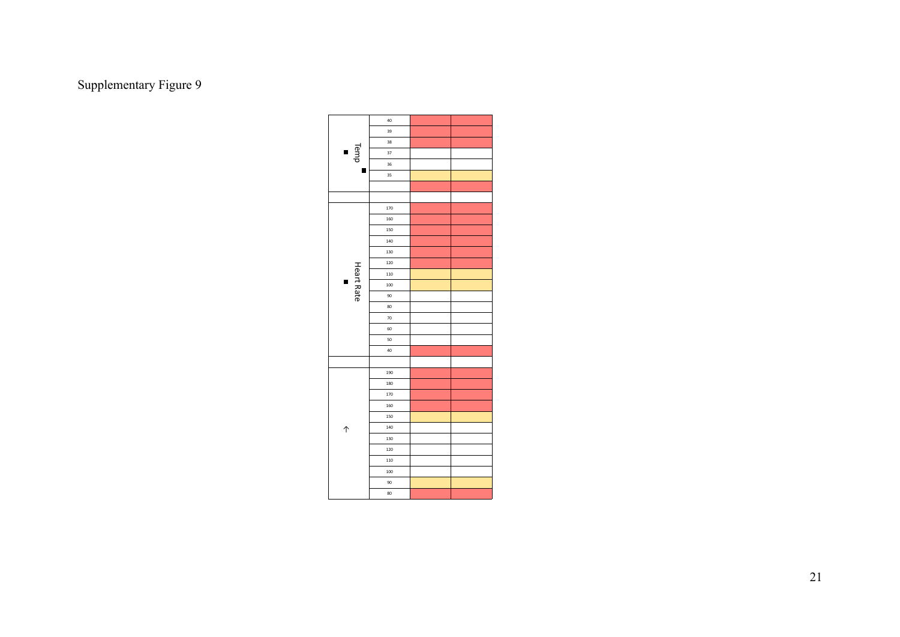